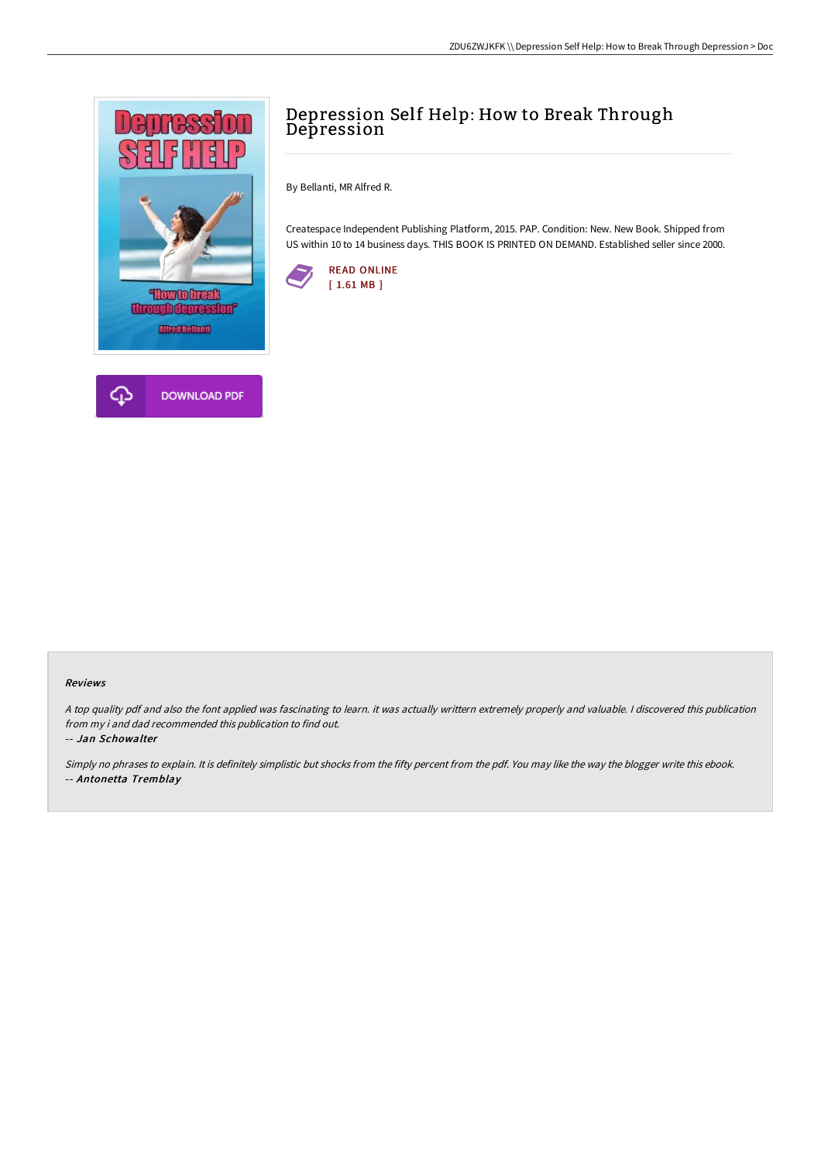

## Depression Self Help: How to Break Through Depression

By Bellanti, MR Alfred R.

Createspace Independent Publishing Platform, 2015. PAP. Condition: New. New Book. Shipped from US within 10 to 14 business days. THIS BOOK IS PRINTED ON DEMAND. Established seller since 2000.



## Reviews

<sup>A</sup> top quality pdf and also the font applied was fascinating to learn. it was actually writtern extremely properly and valuable. <sup>I</sup> discovered this publication from my i and dad recommended this publication to find out.

-- Jan Schowalter

Simply no phrases to explain. It is definitely simplistic but shocks from the fifty percent from the pdf. You may like the way the blogger write this ebook. -- Antonetta Tremblay